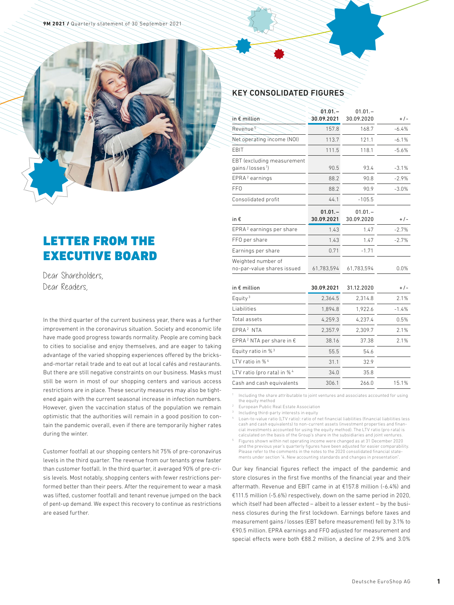

# LETTER FROM THE EXECUTIVE BOARD

Dear Shareholders, Dear Readers,

In the third quarter of the current business year, there was a further improvement in the coronavirus situation. Society and economic life have made good progress towards normality. People are coming back to cities to socialise and enjoy themselves, and are eager to taking advantage of the varied shopping experiences offered by the bricksand-mortar retail trade and to eat out at local cafés and restaurants. But there are still negative constraints on our business. Masks must still be worn in most of our shopping centers and various access restrictions are in place. These security measures may also be tightened again with the current seasonal increase in infection numbers. However, given the vaccination status of the population we remain optimistic that the authorities will remain in a good position to contain the pandemic overall, even if there are temporarily higher rates during the winter.

Customer footfall at our shopping centers hit 75% of pre-coronavirus levels in the third quarter. The revenue from our tenants grew faster than customer footfall. In the third quarter, it averaged 90% of pre-crisis levels. Most notably, shopping centers with fewer restrictions performed better than their peers. After the requirement to wear a mask was lifted, customer footfall and tenant revenue jumped on the back of pent-up demand. We expect this recovery to continue as restrictions are eased further.

## KEY CONSOLIDATED FIGURES

| in $\epsilon$ million                                       | $01.01 -$<br>30.09.2021 | $01.01 -$<br>30.09.2020 | $+/-$   |
|-------------------------------------------------------------|-------------------------|-------------------------|---------|
| Revenue <sup>5</sup>                                        | 157.8                   | 168.7                   | $-6.4%$ |
| Net operating income (NOI)                                  | 113.7                   | 121.1                   | $-6.1%$ |
| EBIT                                                        | 111.5                   | 118.1                   | $-5.6%$ |
| EBT (excluding measurement<br>gains / losses <sup>1</sup> ) | 90.5                    | 93.4                    | $-3.1%$ |
| EPRA <sup>2</sup> earnings                                  | 88.2                    | 90.8                    | $-2.9%$ |
| FF <sub>0</sub>                                             | 88.2                    | 90.9                    | $-3.0%$ |
| Consolidated profit                                         | 44.1                    | $-105.5$                |         |
| in €                                                        | $01.01 -$<br>30.09.2021 | $01.01 -$<br>30.09.2020 | $+/-$   |
| EPRA <sup>2</sup> earnings per share                        | 1.43                    | 1.47                    | $-2.7%$ |
| FFO per share                                               | 1.43                    | 1.47                    | $-2.7%$ |
| Earnings per share                                          | 0.71                    | $-1.71$                 |         |
| Weighted number of<br>no-par-value shares issued            | 61,783,594              | 61,783,594              | 0.0%    |
| in $\epsilon$ million                                       | 30.09.2021              | 31.12.2020              | $+/-$   |
| Equity <sup>3</sup>                                         | 2.364.5                 | 2,314.8                 | 2.1%    |
| Liabilities                                                 | 1,894.8                 | 1,922.6                 | $-1.4%$ |
| Total assets                                                | 4,259.3                 | 4.237.4                 | 0.5%    |
| EPRA <sup>2</sup> NTA                                       | 2,357.9                 | 2.309.7                 | 2.1%    |
| EPRA <sup>2</sup> NTA per share in $\epsilon$               | 38.16                   | 37.38                   | 2.1%    |
| Equity ratio in % <sup>3</sup>                              | 55.5                    | 54.6                    |         |
| LTV ratio in % <sup>4</sup>                                 | 31.1                    | 32.9                    |         |
| LTV ratio (pro rata) in % <sup>4</sup>                      | 34.0                    | 35.8                    |         |
| Cash and cash equivalents                                   | 306.1                   | 266.0                   | 15.1%   |

<sup>1</sup> Including the share attributable to joint ventures and associates accounted for using the equity method

<sup>2</sup> European Public Real Estate Association

Including third-party interests in equity

<sup>4</sup> Loan-to-value ratio (LTV ratio): ratio of net financial liabilities (financial liabilities less cash and cash equivalents) to non-current assets (investment properties and financial investments accounted for using the equity method). The LTV ratio (pro rata) is calculated on the basis of the Group's share in the subsidiaries and joint ventures.

<sup>5</sup> Figures shown within net operating income were changed as at 31 December 2020 and the previous year's quarterly figures have been adjusted for easier comparability. Please refer to the comments in the notes to the 2020 consolidated financial statements under section "4. New accounting standards and changes in presentation".

Our key financial figures reflect the impact of the pandemic and store closures in the first five months of the financial year and their aftermath. Revenue and EBIT came in at €157.8 million (-6.4%) and €111.5 million (-5.6%) respectively, down on the same period in 2020, which itself had been affected – albeit to a lesser extent – by the business closures during the first lockdown. Earnings before taxes and measurement gains / losses (EBT before measurement) fell by 3.1% to €90.5 million. EPRA earnings and FFO adjusted for measurement and special effects were both €88.2 million, a decline of 2.9% and 3.0%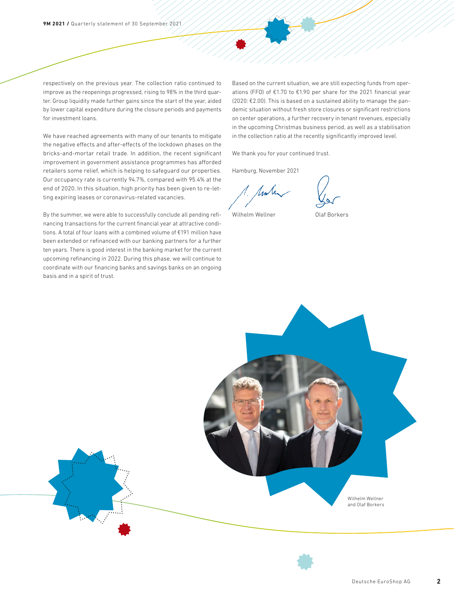respectively on the previous year. The collection ratio continued to improve as the reopenings progressed, rising to 98% in the third quarter. Group liquidity made further gains since the start of the year, aided by lower capital expenditure during the closure periods and payments for investment loans.

We have reached agreements with many of our tenants to mitigate the negative effects and after-effects of the lockdown phases on the bricks-and-mortar retail trade. In addition, the recent significant improvement in government assistance programmes has afforded retailers some relief, which is helping to safeguard our properties. Our occupancy rate is currently 94.7%, compared with 95.4% at the end of 2020. In this situation, high priority has been given to re-letting expiring leases or coronavirus-related vacancies.

By the summer, we were able to successfully conclude all pending refinancing transactions for the current financial year at attractive conditions. A total of four loans with a combined volume of €191 million have been extended or refinanced with our banking partners for a further ten years. There is good interest in the banking market for the current upcoming refinancing in 2022. During this phase, we will continue to coordinate with our financing banks and savings banks on an ongoing basis and in a spirit of trust.

Based on the current situation, we are still expecting funds from operations (FFO) of €1.70 to €1.90 per share for the 2021 financial year (2020: €2.00). This is based on a sustained ability to manage the pandemic situation without fresh store closures or significant restrictions on center operations, a further recovery in tenant revenues, especially in the upcoming Christmas business period, as well as a stabilisation in the collection ratio at the recently significantly improved level.

We thank you for your continued trust.

Hamburg, November 2021

1. Ander

Wilhelm Wellner **Olaf Borkers** 



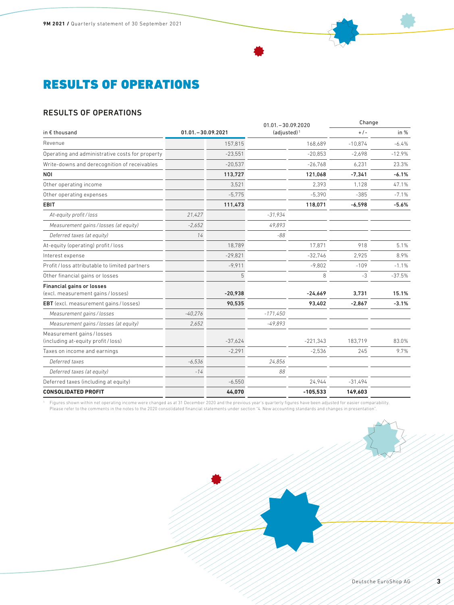# RESULTS OF OPERATIONS

# RESULTS OF OPERATIONS

|                                                                        |                      |           | $01.01 - 30.09.2020$<br>$(adjusted)^1$ |            | Change    |          |
|------------------------------------------------------------------------|----------------------|-----------|----------------------------------------|------------|-----------|----------|
| in € thousand                                                          | $01.01 - 30.09.2021$ |           |                                        |            | $+/-$     | in $%$   |
| Revenue                                                                |                      | 157.815   | 168.689                                |            | $-10.874$ | $-6.4%$  |
| Operating and administrative costs for property                        |                      | $-23,551$ |                                        | $-20,853$  | $-2.698$  | $-12.9%$ |
| Write-downs and derecognition of receivables                           |                      | $-20,537$ |                                        | $-26.768$  | 6.231     | 23.3%    |
| <b>NOI</b>                                                             |                      | 113,727   |                                        | 121,068    | $-7.341$  | $-6.1%$  |
| Other operating income                                                 |                      | 3,521     |                                        | 2.393      | 1.128     | 47.1%    |
| Other operating expenses                                               |                      | $-5.775$  |                                        | $-5.390$   | $-385$    | $-7.1%$  |
| <b>EBIT</b>                                                            |                      | 111,473   |                                        | 118,071    | $-6,598$  | $-5.6%$  |
| At-equity profit/loss                                                  | 21,427               |           | $-31,934$                              |            |           |          |
| Measurement gains / losses (at equity)                                 | $-2.652$             |           | 49.893                                 |            |           |          |
| Deferred taxes (at equity)                                             | 14                   |           | $-88$                                  |            |           |          |
| At-equity (operating) profit / loss                                    |                      | 18,789    |                                        | 17,871     | 918       | 5.1%     |
| Interest expense                                                       |                      | $-29.821$ |                                        | $-32.746$  | 2.925     | 8.9%     |
| Profit / loss attributable to limited partners                         |                      | $-9.911$  |                                        | $-9.802$   | $-109$    | $-1.1%$  |
| Other financial gains or losses                                        |                      | 5         |                                        | 8          | $-3$      | $-37.5%$ |
| <b>Financial gains or losses</b><br>(excl. measurement gains / losses) |                      | $-20,938$ |                                        | $-24,669$  | 3.731     | 15.1%    |
| EBT (excl. measurement gains / losses)                                 |                      | 90.535    |                                        | 93.402     | $-2.867$  | $-3.1%$  |
| Measurement gains/losses                                               | $-40,276$            |           | $-171,450$                             |            |           |          |
| Measurement gains / losses (at equity)                                 | 2.652                |           | $-49,893$                              |            |           |          |
| Measurement gains / losses<br>(including at-equity profit / loss)      |                      | $-37.624$ |                                        | $-221,343$ | 183.719   | 83.0%    |
| Taxes on income and earnings                                           |                      | $-2,291$  |                                        | $-2,536$   | 245       | 9.7%     |
| Deferred taxes                                                         | $-6.536$             |           | 24.856                                 |            |           |          |
| Deferred taxes (at equity)                                             | $-14$                |           | 88                                     |            |           |          |
| Deferred taxes (including at equity)                                   |                      | $-6,550$  |                                        | 24,944     | $-31,494$ |          |
| <b>CONSOLIDATED PROFIT</b>                                             |                      | 44,070    |                                        | $-105,533$ | 149,603   |          |
|                                                                        |                      |           |                                        |            |           |          |

<sup>1</sup> Figures shown within net operating income were changed as at 31 December 2020 and the previous year's quarterly figures have been adjusted for easier comparability. Please refer to the comments in the notes to the 2020 consolidated financial statements under section "4. New accounting standards and changes in presentation".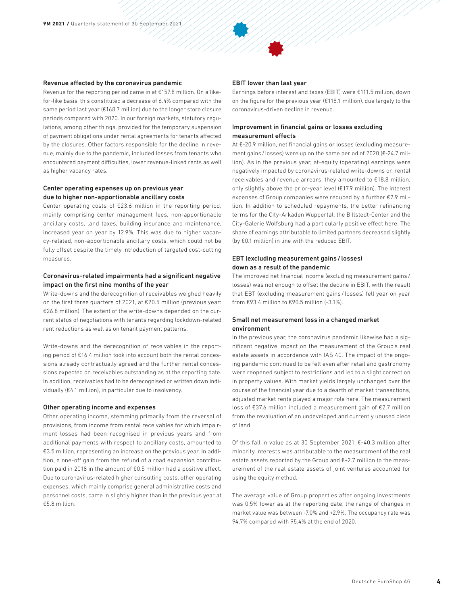#### Revenue affected by the coronavirus pandemic

Revenue for the reporting period came in at €157.8 million. On a likefor-like basis, this constituted a decrease of 6.4% compared with the same period last year (€168.7 million) due to the longer store closure periods compared with 2020. In our foreign markets, statutory regulations, among other things, provided for the temporary suspension of payment obligations under rental agreements for tenants affected by the closures. Other factors responsible for the decline in revenue, mainly due to the pandemic, included losses from tenants who encountered payment difficulties, lower revenue-linked rents as well as higher vacancy rates.

### Center operating expenses up on previous year due to higher non-apportionable ancillary costs

Center operating costs of €23.6 million in the reporting period, mainly comprising center management fees, non-apportionable ancillary costs, land taxes, building insurance and maintenance, increased year on year by 12.9%. This was due to higher vacancy-related, non-apportionable ancillary costs, which could not be fully offset despite the timely introduction of targeted cost-cutting measures.

#### Coronavirus-related impairments had a significant negative impact on the first nine months of the year

Write-downs and the derecognition of receivables weighed heavily on the first three quarters of 2021, at €20.5 million (previous year: €26.8 million). The extent of the write-downs depended on the current status of negotiations with tenants regarding lockdown-related rent reductions as well as on tenant payment patterns.

Write-downs and the derecognition of receivables in the reporting period of €16.4 million took into account both the rental concessions already contractually agreed and the further rental concessions expected on receivables outstanding as at the reporting date. In addition, receivables had to be derecognised or written down individually (€4.1 million), in particular due to insolvency.

#### Other operating income and expenses

Other operating income, stemming primarily from the reversal of provisions, from income from rental receivables for which impairment losses had been recognised in previous years and from additional payments with respect to ancillary costs, amounted to €3.5 million, representing an increase on the previous year. In addition, a one-off gain from the refund of a road expansion contribution paid in 2018 in the amount of €0.5 million had a positive effect. Due to coronavirus-related higher consulting costs, other operating expenses, which mainly comprise general administrative costs and personnel costs, came in slightly higher than in the previous year at €5.8 million.

#### EBIT lower than last year

Earnings before interest and taxes (EBIT) were €111.5 million, down on the figure for the previous year (€118.1 million), due largely to the coronavirus-driven decline in revenue.

### Improvement in financial gains or losses excluding measurement effects

At €-20.9 million, net financial gains or losses (excluding measurement gains / losses) were up on the same period of 2020 (€-24.7 million). As in the previous year, at-equity (operating) earnings were negatively impacted by coronavirus-related write-downs on rental receivables and revenue arrears; they amounted to €18.8 million, only slightly above the prior-year level (€17.9 million). The interest expenses of Group companies were reduced by a further €2.9 million. In addition to scheduled repayments, the better refinancing terms for the City-Arkaden Wuppertal, the Billstedt-Center and the City-Galerie Wolfsburg had a particularly positive effect here. The share of earnings attributable to limited partners decreased slightly (by €0.1 million) in line with the reduced EBIT.

### EBT (excluding measurement gains/ losses) down as a result of the pandemic

The improved net financial income (excluding measurement gains / losses) was not enough to offset the decline in EBIT, with the result that EBT (excluding measurement gains / losses) fell year on year from €93.4 million to €90.5 million (-3.1%).

### Small net measurement loss in a changed market environment

In the previous year, the coronavirus pandemic likewise had a significant negative impact on the measurement of the Group's real estate assets in accordance with IAS 40. The impact of the ongoing pandemic continued to be felt even after retail and gastronomy were reopened subject to restrictions and led to a slight correction in property values. With market yields largely unchanged over the course of the financial year due to a dearth of market transactions, adjusted market rents played a major role here. The measurement loss of €37.6 million included a measurement gain of €2.7 million from the revaluation of an undeveloped and currently unused piece of land.

Of this fall in value as at 30 September 2021, €-40.3 million after minority interests was attributable to the measurement of the real estate assets reported by the Group and €+2.7 million to the measurement of the real estate assets of joint ventures accounted for using the equity method.

The average value of Group properties after ongoing investments was 0.5% lower as at the reporting date; the range of changes in market value was between -7.0% and +2.9%. The occupancy rate was 94.7% compared with 95.4% at the end of 2020.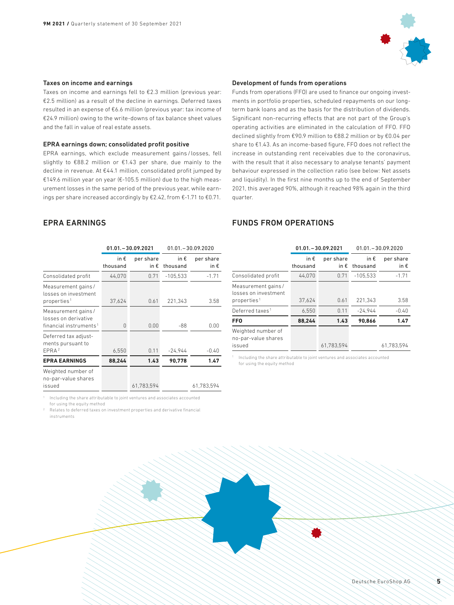

#### Taxes on income and earnings

Taxes on income and earnings fell to €2.3 million (previous year: €2.5 million) as a result of the decline in earnings. Deferred taxes resulted in an expense of €6.6 million (previous year: tax income of €24.9 million) owing to the write-downs of tax balance sheet values and the fall in value of real estate assets.

#### EPRA earnings down; consolidated profit positive

EPRA earnings, which exclude measurement gains / losses, fell slightly to €88.2 million or €1.43 per share, due mainly to the decline in revenue. At €44.1 million, consolidated profit jumped by €149.6 million year on year (€-105.5 million) due to the high measurement losses in the same period of the previous year, while earnings per share increased accordingly by €2.42, from €-1.71 to €0.71.

# EPRA EARNINGS

|                                                                                  |                           | $01.01 - 30.09.2021$       | $01.01 - 30.09.2020$      |                            |
|----------------------------------------------------------------------------------|---------------------------|----------------------------|---------------------------|----------------------------|
|                                                                                  | in $\epsilon$<br>thousand | per share<br>in $\epsilon$ | in $\epsilon$<br>thousand | per share<br>in $\epsilon$ |
| Consolidated profit                                                              | 44,070                    | 0.71                       | $-105,533$                | $-1.71$                    |
| Measurement gains/<br>losses on investment<br>properties <sup>1</sup>            | 37,624                    | 0.61                       | 221,343                   | 3.58                       |
| Measurement gains/<br>losses on derivative<br>financial instruments <sup>1</sup> | 0                         | 0.00                       | -88                       | 0.00                       |
| Deferred tax adjust-<br>ments pursuant to<br>EPRA <sup>2</sup>                   | 6,550                     | 0.11                       | $-24,944$                 | $-0.40$                    |
| <b>EPRA EARNINGS</b>                                                             | 88,244                    | 1.43                       | 90.778                    | 1.47                       |
| Weighted number of<br>no-par-value shares<br>issued                              |                           | 61,783,594                 |                           | 61,783,594                 |

<sup>1</sup> Including the share attributable to joint ventures and associates accounted for using the equity method

<sup>2</sup> Relates to deferred taxes on investment properties and derivative financial instruments

#### Development of funds from operations

Funds from operations (FFO) are used to finance our ongoing investments in portfolio properties, scheduled repayments on our longterm bank loans and as the basis for the distribution of dividends. Significant non-recurring effects that are not part of the Group's operating activities are eliminated in the calculation of FFO. FFO declined slightly from €90.9 million to €88.2 million or by €0.04 per share to €1.43. As an income-based figure, FFO does not reflect the increase in outstanding rent receivables due to the coronavirus, with the result that it also necessary to analyse tenants' payment behaviour expressed in the collection ratio (see below: Net assets and liquidity). In the first nine months up to the end of September 2021, this averaged 90%, although it reached 98% again in the third quarter.

# FUNDS FROM OPERATIONS

|                                                                       |                           | $01.01 - 30.09.2021$       | $01.01 - 30.09.2020$      |                            |
|-----------------------------------------------------------------------|---------------------------|----------------------------|---------------------------|----------------------------|
|                                                                       | in $\epsilon$<br>thousand | per share<br>in $\epsilon$ | in $\epsilon$<br>thousand | per share<br>in $\epsilon$ |
| Consolidated profit                                                   | 44.070                    | 0.71                       | $-105.533$                | $-1.71$                    |
| Measurement gains/<br>losses on investment<br>properties <sup>1</sup> | 37.624                    | 0.61                       | 221,343                   | 3.58                       |
| Deferred taxes <sup>1</sup>                                           | 6.550                     | 0.11                       | $-24.944$                 | $-0.40$                    |
| <b>FFO</b>                                                            | 88.244                    | 1.43                       | 90.866                    | 1.47                       |
| Weighted number of<br>no-par-value shares<br>issued                   |                           | 61.783.594                 |                           | 61.783.594                 |

<sup>1</sup> Including the share attributable to joint ventures and associates accounted for using the equity method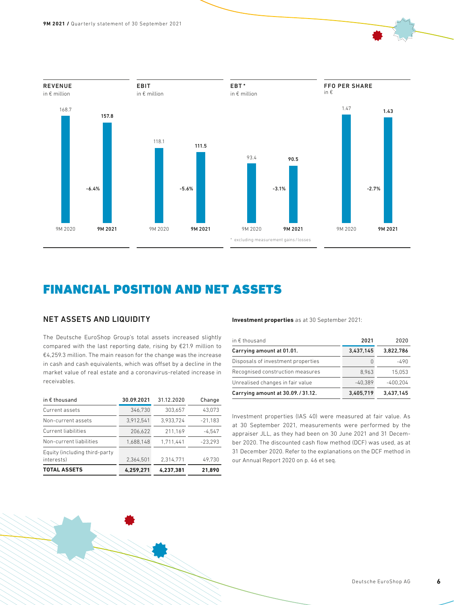

# FINANCIAL POSITION AND NET ASSETS

## NET ASSETS AND LIQUIDITY

The Deutsche EuroShop Group's total assets increased slightly compared with the last reporting date, rising by €21.9 million to €4,259.3 million. The main reason for the change was the increase in cash and cash equivalents, which was offset by a decline in the market value of real estate and a coronavirus-related increase in receivables.

| in $\epsilon$ thousand                      | 30.09.2021 | 31.12.2020 | Change    |
|---------------------------------------------|------------|------------|-----------|
| Current assets                              | 346.730    | 303.657    | 43.073    |
| Non-current assets                          | 3.912.541  | 3.933.724  | $-21.183$ |
| <b>Current liabilities</b>                  | 206.622    | 211.169    | $-4.547$  |
| Non-current liabilities                     | 1.688.148  | 1.711.441  | $-23.293$ |
| Equity (including third-party<br>interests) | 2.364.501  | 2.314.771  | 49.730    |
| <b>TOTAL ASSETS</b>                         | 4.259.271  | 4.237.381  | 21.890    |

**Investment properties** as at 30 September 2021:

| in $\epsilon$ thousand             | 2021      | 2020       |
|------------------------------------|-----------|------------|
| Carrying amount at 01.01.          | 3,437,145 | 3.822.786  |
| Disposals of investment properties | O         | -490       |
| Recognised construction measures   | 8.963     | 15.053     |
| Unrealised changes in fair value   | $-40.389$ | $-400.204$ |
| Carrying amount at 30.09./31.12.   | 3.405.719 | 3.437.145  |

Investment properties (IAS 40) were measured at fair value. As at 30 September 2021, measurements were performed by the appraiser JLL, as they had been on 30 June 2021 and 31 December 2020. The discounted cash flow method (DCF) was used, as at 31 December 2020. Refer to the explanations on the DCF method in our Annual Report 2020 on p. 46 et seq.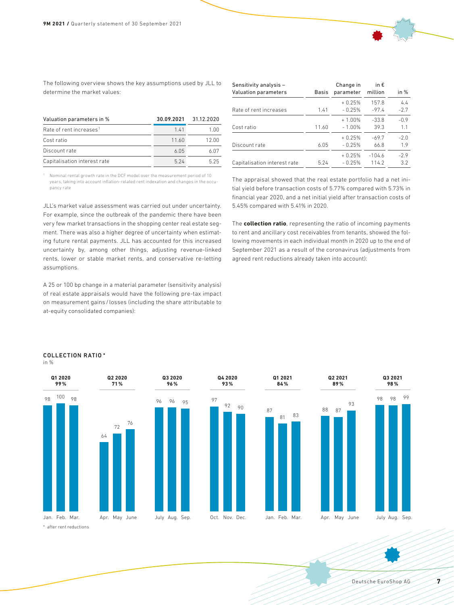The following overview shows the key assumptions used by JLL to determine the market values:

| Valuation parameters in %           | 30.09.2021 | 31.12.2020 |
|-------------------------------------|------------|------------|
| Rate of rent increases <sup>1</sup> | 141        | 1 NN       |
| Cost ratio                          | 11.60      | 12 OO      |
| Discount rate                       | 605        | ለ በ7       |
| Capitalisation interest rate        | 5 24       | 525        |

| Sensitivity analysis -       |              | Change in | in $\epsilon$ |        |
|------------------------------|--------------|-----------|---------------|--------|
| Valuation parameters         | <b>Basis</b> | parameter | million       | in $%$ |
|                              |              | $+0.25%$  | 157.8         | 4.4    |
| Rate of rent increases       | 1.41         | $-0.25%$  | $-97.4$       | $-2.7$ |
|                              |              | $+1.00%$  | $-33.8$       | $-0.9$ |
| Cost ratio                   | 11.60        | $-1.00%$  | 39.3          | 1.1    |
|                              |              | $+0.25%$  | $-69.7$       | $-2.0$ |
| Discount rate                | 6.05         | $-0.25%$  | 66.8          | 1.9    |
|                              |              | $+0.25%$  | $-104.6$      | $-2.9$ |
| Capitalisation interest rate | 5.24         | $-0.25%$  | 1142          | 3.2    |

<sup>1</sup> Nominal rental growth rate in the DCF model over the measurement period of 10 years, taking into account inflation-related rent indexation and changes in the occupancy rate

JLL's market value assessment was carried out under uncertainty. For example, since the outbreak of the pandemic there have been very few market transactions in the shopping center real estate segment. There was also a higher degree of uncertainty when estimating future rental payments. JLL has accounted for this increased uncertainty by, among other things, adjusting revenue-linked rents, lower or stable market rents, and conservative re-letting assumptions.

A 25 or 100 bp change in a material parameter (sensitivity analysis) of real estate appraisals would have the following pre-tax impact on measurement gains / losses (including the share attributable to at-equity consolidated companies):

The appraisal showed that the real estate portfolio had a net initial yield before transaction costs of 5.77% compared with 5.73% in financial year 2020, and a net initial yield after transaction costs of 5.45% compared with 5.41% in 2020.

The **collection ratio**, representing the ratio of incoming payments to rent and ancillary cost receivables from tenants, showed the following movements in each individual month in 2020 up to the end of September 2021 as a result of the coronavirus (adjustments from agreed rent reductions already taken into account):



#### COLLECTION RATIO \* in %



**Q4 2020 93%**



\* after rent reductions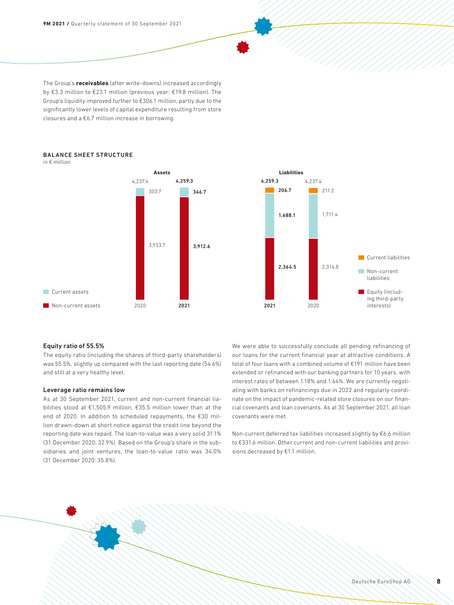**9M 2021 /** Quarterly statement of 30 September 2021

The Group's **receivables** (after write-downs) increased accordingly by €3.3 million to €23.1 million (previous year: €19.8 million). The Group's liquidity improved further to €306.1 million, partly due to the significantly lower levels of capital expenditure resulting from store closures and a €6.7 million increase in borrowing.

#### BALANCE SHEET STRUCTURE in € million



### Equity ratio of 55.5%

The equity ratio (including the shares of third-party shareholders) was 55.5%, slightly up compared with the last reporting date (54.6%) and still at a very healthy level.

### Leverage ratio remains low

As at 30 September 2021, current and non-current financial liabilities stood at €1,505.9 million, €35.5 million lower than at the end of 2020. In addition to scheduled repayments, the €30 million drawn-down at short notice against the credit line beyond the reporting date was repaid. The loan-to-value was a very solid 31.1% (31 December 2020: 32.9%). Based on the Group's share in the subsidiaries and joint ventures, the loan-to-value ratio was 34.0% (31 December 2020: 35.8%).

We were able to successfully conclude all pending refinancing of our loans for the current financial year at attractive conditions. A total of four loans with a combined volume of €191 million have been extended or refinanced with our banking partners for 10 years, with interest rates of between 1.18% and 1.64%. We are currently negotiating with banks on refinancings due in 2022 and regularly coordinate on the impact of pandemic-related store closures on our financial covenants and loan covenants. As at 30 September 2021, all loan covenants were met.

Non-current deferred tax liabilities increased slightly by €6.6 million to €331.6 million. Other current and non-current liabilities and provisions decreased by €1.1 million.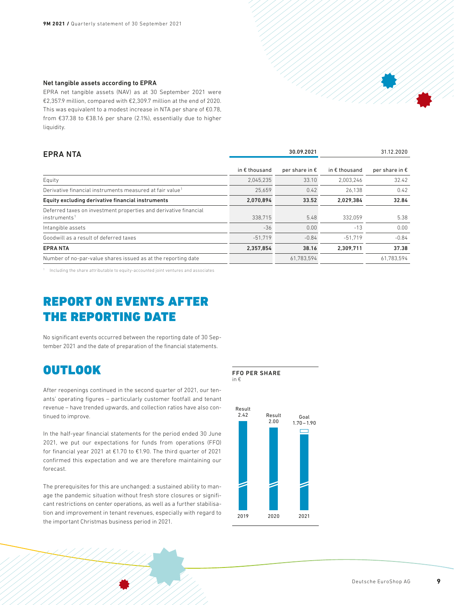#### Net tangible assets according to EPRA

EPRA net tangible assets (NAV) as at 30 September 2021 were €2,357.9 million, compared with €2,309.7 million at the end of 2020. This was equivalent to a modest increase in NTA per share of €0.78, from €37.38 to €38.16 per share (2.1%), essentially due to higher liquidity.

| <b>EPRANTA</b>                                                                               |                        | 30.09.2021              |                        | 31.12.2020              |  |
|----------------------------------------------------------------------------------------------|------------------------|-------------------------|------------------------|-------------------------|--|
|                                                                                              | in $\epsilon$ thousand | per share in $\epsilon$ | in $\epsilon$ thousand | per share in $\epsilon$ |  |
| Equity                                                                                       | 2,045,235              | 33.10                   | 2.003.246              | 32.42                   |  |
| Derivative financial instruments measured at fair value <sup>1</sup>                         | 25.659                 | 0.42                    | 26.138                 | 0.42                    |  |
| Equity excluding derivative financial instruments                                            | 2,070,894              | 33.52                   | 2.029.384              | 32.84                   |  |
| Deferred taxes on investment properties and derivative financial<br>instruments <sup>1</sup> | 338.715                | 5.48                    | 332.059                | 5.38                    |  |
| Intangible assets                                                                            | $-36$                  | 0.00                    | $-13$                  | 0.00                    |  |
| Goodwill as a result of deferred taxes                                                       | $-51.719$              | $-0.84$                 | $-51.719$              | $-0.84$                 |  |
| <b>EPRANTA</b>                                                                               | 2,357,854              | 38.16                   | 2.309.711              | 37.38                   |  |
| Number of no-par-value shares issued as at the reporting date                                |                        | 61,783,594              |                        | 61.783.594              |  |
|                                                                                              |                        |                         |                        |                         |  |

<sup>1</sup> Including the share attributable to equity-accounted joint ventures and associates

# REPORT ON EVENTS AFTER THE REPORTING DATE

No significant events occurred between the reporting date of 30 September 2021 and the date of preparation of the financial statements.

# **OUTLOOK**

After reopenings continued in the second quarter of 2021, our tenants' operating figures – particularly customer footfall and tenant revenue – have trended upwards, and collection ratios have also continued to improve.

In the half-year financial statements for the period ended 30 June 2021, we put our expectations for funds from operations (FFO) for financial year 2021 at €1.70 to €1.90. The third quarter of 2021 confirmed this expectation and we are therefore maintaining our forecast.

The prerequisites for this are unchanged: a sustained ability to manage the pandemic situation without fresh store closures or significant restrictions on center operations, as well as a further stabilisation and improvement in tenant revenues, especially with regard to the important Christmas business period in 2021.

### FFO PER SHARE

in €

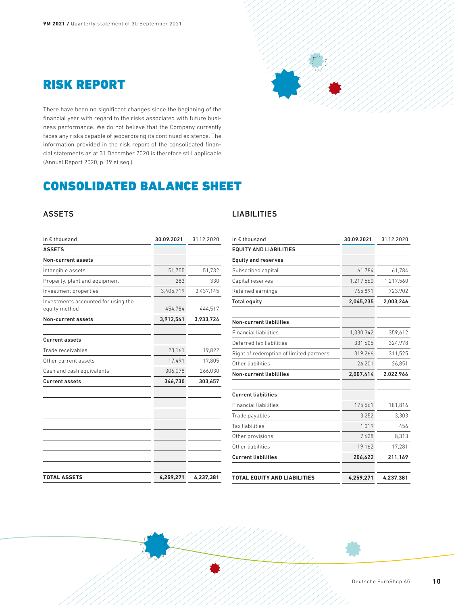



There have been no significant changes since the beginning of the financial year with regard to the risks associated with future business performance. We do not believe that the Company currently faces any risks capable of jeopardising its continued existence. The information provided in the risk report of the consolidated financial statements as at 31 December 2020 is therefore still applicable (Annual Report 2020, p. 19 et seq.).

# CONSOLIDATED BALANCE SHEET

# ASSETS

| in $\epsilon$ thousand                               | 30.09.2021 | 31.12.2020 |
|------------------------------------------------------|------------|------------|
| <b>ASSETS</b>                                        |            |            |
| Non-current assets                                   |            |            |
| Intangible assets                                    | 51,755     | 51,732     |
| Property, plant and equipment                        | 283        | 330        |
| Investment properties                                | 3,405,719  | 3,437,145  |
| Investments accounted for using the<br>equity method | 454,784    | 444,517    |
| Non-current assets                                   | 3,912,541  | 3,933,724  |
| <b>Current assets</b>                                |            |            |
| Trade receivables                                    | 23,161     | 19,822     |
| Other current assets                                 | 17,491     | 17,805     |
| Cash and cash equivalents                            | 306,078    | 266,030    |
| <b>Current assets</b>                                | 346,730    | 303,657    |
|                                                      |            |            |
|                                                      |            |            |
| <b>TOTAL ASSETS</b>                                  | 4,259,271  | 4,237,381  |

# LIABILITIES

| in € thousand                           | 30.09.2021 | 31.12.2020 |
|-----------------------------------------|------------|------------|
| <b>EQUITY AND LIABILITIES</b>           |            |            |
| <b>Equity and reserves</b>              |            |            |
| Subscribed capital                      | 61,784     | 61,784     |
| Capital reserves                        | 1,217,560  | 1,217,560  |
| Retained earnings                       | 765,891    | 723,902    |
| <b>Total equity</b>                     | 2,045,235  | 2,003,246  |
| <b>Non-current liabilities</b>          |            |            |
| <b>Financial liabilities</b>            | 1,330,342  | 1,359,612  |
| Deferred tax liabilities                | 331,605    | 324,978    |
| Right of redemption of limited partners | 319,266    | 311,525    |
| Other liabilities                       | 26,201     | 26,851     |
| <b>Non-current liabilities</b>          | 2,007,414  | 2,022,966  |
| <b>Current liabilities</b>              |            |            |
| <b>Financial liabilities</b>            | 175,561    | 181,816    |
| Trade payables                          | 3,252      | 3,303      |
| Tax liabilities                         | 1,019      | 456        |
| Other provisions                        | 7,628      | 8,313      |
| Other liabilities                       | 19,162     | 17,281     |
| <b>Current liabilities</b>              | 206,622    | 211,169    |
| <b>TOTAL EQUITY AND LIABILITIES</b>     | 4,259,271  | 4,237,381  |

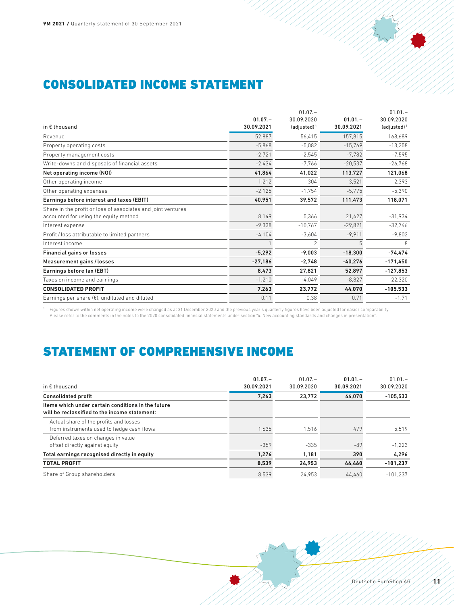

# CONSOLIDATED INCOME STATEMENT

|                                                              |            | $01.07 -$      |            | $01.01 -$      |
|--------------------------------------------------------------|------------|----------------|------------|----------------|
|                                                              | $01.07 -$  | 30.09.2020     | $01.01 -$  | 30.09.2020     |
| in $\epsilon$ thousand                                       | 30.09.2021 | $(adjusted)^1$ | 30.09.2021 | $(adjusted)^1$ |
| Revenue                                                      | 52,887     | 56,415         | 157,815    | 168,689        |
| Property operating costs                                     | $-5,868$   | $-5,082$       | $-15,769$  | $-13,258$      |
| Property management costs                                    | $-2,721$   | $-2,545$       | $-7,782$   | $-7,595$       |
| Write-downs and disposals of financial assets                | $-2,434$   | $-7,766$       | $-20,537$  | $-26,768$      |
| Net operating income (NOI)                                   | 41,864     | 41,022         | 113,727    | 121,068        |
| Other operating income                                       | 1,212      | 304            | 3,521      | 2,393          |
| Other operating expenses                                     | $-2,125$   | $-1.754$       | $-5.775$   | $-5,390$       |
| Earnings before interest and taxes (EBIT)                    | 40,951     | 39,572         | 111,473    | 118,071        |
| Share in the profit or loss of associates and joint ventures |            |                |            |                |
| accounted for using the equity method                        | 8,149      | 5,366          | 21,427     | $-31,934$      |
| Interest expense                                             | $-9,338$   | $-10,767$      | $-29,821$  | $-32,746$      |
| Profit / loss attributable to limited partners               | $-4,104$   | $-3,604$       | $-9,911$   | $-9.802$       |
| Interest income                                              |            | $\mathfrak{p}$ | 5          | 8              |
| <b>Financial gains or losses</b>                             | $-5,292$   | $-9,003$       | $-18,300$  | $-74,474$      |
| Measurement gains / losses                                   | $-27,186$  | $-2,748$       | $-40,276$  | $-171,450$     |
| Earnings before tax (EBT)                                    | 8,473      | 27,821         | 52,897     | $-127,853$     |
| Taxes on income and earnings                                 | $-1,210$   | $-4,049$       | $-8,827$   | 22,320         |
| <b>CONSOLIDATED PROFIT</b>                                   | 7,263      | 23,772         | 44,070     | $-105,533$     |
| Earnings per share $(\epsilon)$ , undiluted and diluted      | 0.11       | 0.38           | 0.71       | $-1.71$        |
|                                                              |            |                |            |                |

///

Figures shown within net operating income were changed as at 31 December 2020 and the previous year's quarterly figures have been adjusted for easier comparability.<br>Please refer to the comments in the notes to the 2020 con

# STATEMENT OF COMPREHENSIVE INCOME

| $01.07 -$<br>30.09.2021 | $01.07 -$<br>30.09.2020 | $01.01 -$<br>30.09.2021 | $01.01 -$<br>30.09.2020 |
|-------------------------|-------------------------|-------------------------|-------------------------|
| 7.263                   | 23.772                  | 44.070                  | $-105.533$              |
|                         |                         |                         |                         |
| 1.635                   | 1,516                   | 479                     | 5,519                   |
| $-359$                  | $-335$                  | $-89$                   | $-1.223$                |
| 1.276                   | 1.181                   | 390                     | 4.296                   |
| 8.539                   | 24.953                  | 44.460                  | $-101.237$              |
| 8.539                   | 24.953                  | 44.460                  | $-101.237$              |
|                         |                         |                         |                         |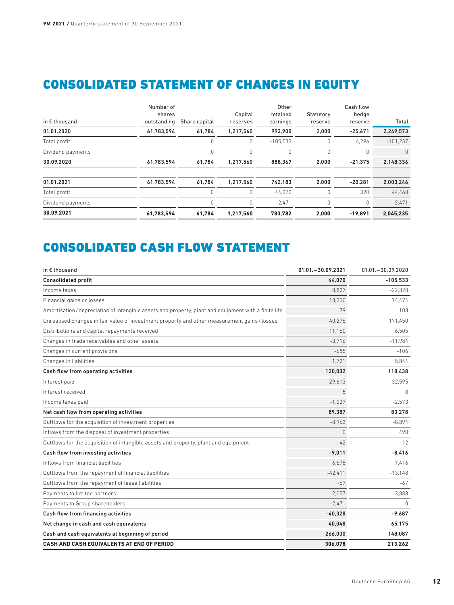# CONSOLIDATED STATEMENT OF CHANGES IN EQUITY

| in $\epsilon$ thousand | Number of<br>shares<br>outstanding | Share capital | Capital<br>reserves | Other<br>retained<br>earnings | Statutory<br>reserve | Cash flow<br>hedge<br>reserve | Total      |
|------------------------|------------------------------------|---------------|---------------------|-------------------------------|----------------------|-------------------------------|------------|
| 01.01.2020             | 61,783,594                         | 61.784        | 1,217,560           | 993.900                       | 2,000                | $-25.671$                     | 2,249,573  |
| Total profit           |                                    | 0             | 0                   | $-105,533$                    | 0                    | 4,296                         | $-101.237$ |
| Dividend payments      |                                    | 0             | 0                   | 0                             | 0                    | 0                             | $\Omega$   |
| 30.09.2020             | 61,783,594                         | 61,784        | 1,217,560           | 888,367                       | 2,000                | $-21.375$                     | 2,148,336  |
| 01.01.2021             | 61,783,594                         | 61,784        | 1,217,560           | 742,183                       | 2,000                | $-20.281$                     | 2,003,246  |
| Total profit           |                                    |               | 0                   | 44,070                        | 0                    | 390                           | 44,460     |
| Dividend payments      |                                    |               | 0                   | $-2,471$                      | 0                    | 0                             | $-2,471$   |
| 30.09.2021             | 61,783,594                         | 61,784        | 1,217,560           | 783.782                       | 2,000                | $-19.891$                     | 2,045,235  |

# CONSOLIDATED CASH FLOW STATEMENT

| in € thousand                                                                                         | $01.01 - 30.09.2021$ | $01.01 - 30.09.2020$ |
|-------------------------------------------------------------------------------------------------------|----------------------|----------------------|
| <b>Consolidated profit</b>                                                                            | 44.070               | $-105,533$           |
| Income taxes                                                                                          | 8.827                | $-22.320$            |
| Financial gains or losses                                                                             | 18,300               | 74,474               |
| Amortisation / depreciation of intangible assets and property, plant and equipment with a finite life | 79                   | 108                  |
| Unrealised changes in fair value of investment property and other measurement gains / losses          | 40.276               | 171.450              |
| Distributions and capital repayments received                                                         | 11.160               | 6,505                |
| Changes in trade receivables and other assets                                                         | $-3.716$             | $-11,984$            |
| Changes in current provisions                                                                         | $-685$               | $-106$               |
| Changes in liabilities                                                                                | 1.721                | 5.844                |
| Cash flow from operating activities                                                                   | 120.032              | 118.438              |
| Interest paid                                                                                         | $-29,613$            | $-32,595$            |
| Interest received                                                                                     | 5                    | 8                    |
| Income taxes paid                                                                                     | $-1.037$             | $-2,573$             |
| Net cash flow from operating activities                                                               | 89.387               | 83.278               |
| Outflows for the acquisition of investment properties                                                 | $-8,963$             | $-8,894$             |
| Inflows from the disposal of investment properties                                                    | $\Omega$             | 490                  |
| Outflows for the acquisition of intangible assets and property, plant and equipment                   | $-42$                | $-12$                |
| Cash flow from investing activities                                                                   | $-9,011$             | $-8,416$             |
| Inflows from financial liabilities                                                                    | 6.678                | 7.416                |
| Outflows from the repayment of financial liabilities                                                  | $-42.411$            | $-13,148$            |
| Outflows from the repayment of lease liabilities                                                      | $-67$                | -67                  |
| Payments to limited partners                                                                          | $-2,057$             | $-3,888$             |
| Payments to Group shareholders                                                                        | $-2.471$             | $\bigcap$            |
| Cash flow from financing activities                                                                   | $-40.328$            | $-9.687$             |
| Net change in cash and cash equivalents                                                               | 40,048               | 65,175               |
| Cash and cash equivalents at beginning of period                                                      | 266.030              | 148.087              |
| CASH AND CASH EQUIVALENTS AT END OF PERIOD                                                            | 306,078              | 213,262              |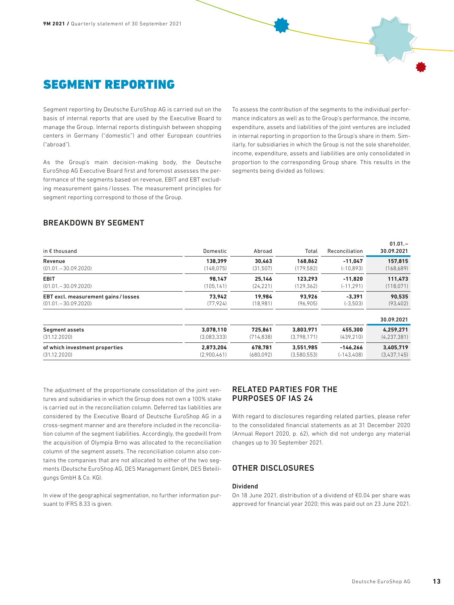

Segment reporting by Deutsche EuroShop AG is carried out on the basis of internal reports that are used by the Executive Board to manage the Group. Internal reports distinguish between shopping centers in Germany ("domestic") and other European countries ("abroad").

As the Group's main decision-making body, the Deutsche EuroShop AG Executive Board first and foremost assesses the performance of the segments based on revenue, EBIT and EBT excluding measurement gains / losses. The measurement principles for segment reporting correspond to those of the Group.

To assess the contribution of the segments to the individual performance indicators as well as to the Group's performance, the income, expenditure, assets and liabilities of the joint ventures are included in internal reporting in proportion to the Group's share in them. Similarly, for subsidiaries in which the Group is not the sole shareholder, income, expenditure, assets and liabilities are only consolidated in proportion to the corresponding Group share. This results in the segments being divided as follows:

# BREAKDOWN BY SEGMENT

| in $\epsilon$ thousand               | Domestic    | Abroad     | Total       | Reconciliation | 30.09.2021    |
|--------------------------------------|-------------|------------|-------------|----------------|---------------|
| Revenue                              | 138.399     | 30.463     | 168.862     | $-11.047$      | 157.815       |
| $(01.01, -30.09, 2020)$              | (148.075)   | (31, 507)  | (179, 582)  | $(-10.893)$    | (168,689)     |
| <b>EBIT</b>                          | 98.147      | 25.146     | 123.293     | $-11.820$      | 111.473       |
| $(01.01, -30.09, 2020)$              | (105.141)   | (24, 221)  | (129, 362)  | $(-11, 291)$   | (118,071)     |
| EBT excl. measurement gains / losses | 73.942      | 19.984     | 93.926      | $-3.391$       | 90.535        |
| $(01.01, -30.09, 2020)$              | (77, 924)   | (18,981)   | (96, 905)   | $(-3,503)$     | (93, 402)     |
|                                      |             |            |             |                | 30.09.2021    |
| <b>Segment assets</b>                | 3.078.110   | 725.861    | 3.803.971   | 455.300        | 4.259.271     |
| (31.12.2020)                         | (3,083,333) | (714, 838) | (3.798.171) | (439.210)      | (4, 237, 381) |
| of which investment properties       | 2.873.204   | 678.781    | 3.551.985   | $-146.266$     | 3.405.719     |
| (31.12.2020)                         | (2,900,461) | (680,092)  | (3,580,553) | $(-143, 408)$  | (3,437,145)   |

The adjustment of the proportionate consolidation of the joint ventures and subsidiaries in which the Group does not own a 100% stake is carried out in the reconciliation column. Deferred tax liabilities are considered by the Executive Board of Deutsche EuroShop AG in a cross-segment manner and are therefore included in the reconciliation column of the segment liabilities. Accordingly, the goodwill from the acquisition of Olympia Brno was allocated to the reconciliation column of the segment assets. The reconciliation column also contains the companies that are not allocated to either of the two segments (Deutsche EuroShop AG, DES Management GmbH, DES Beteiligungs GmbH & Co. KG).

In view of the geographical segmentation, no further information pursuant to IFRS 8.33 is given.

# RELATED PARTIES FOR THE PURPOSES OF IAS 24

With regard to disclosures regarding related parties, please refer to the consolidated financial statements as at 31 December 2020 (Annual Report 2020, p. 62), which did not undergo any material changes up to 30 September 2021.

## OTHER DISCLOSURES

### Dividend

On 18 June 2021, distribution of a dividend of €0.04 per share was approved for financial year 2020; this was paid out on 23 June 2021.

 $01.01 -$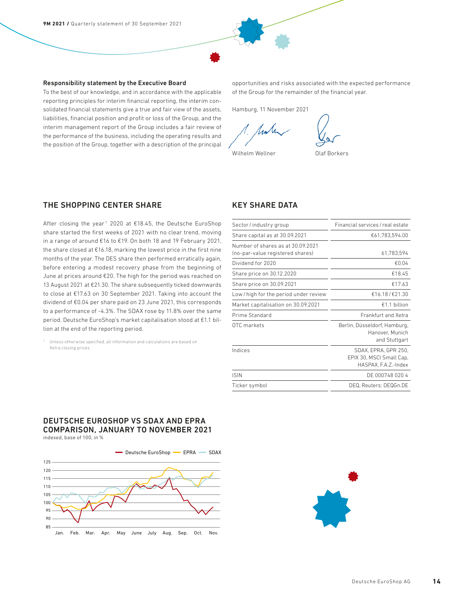#### Responsibility statement by the Executive Board

To the best of our knowledge, and in accordance with the applicable reporting principles for interim financial reporting, the interim consolidated financial statements give a true and fair view of the assets, liabilities, financial position and profit or loss of the Group, and the interim management report of the Group includes a fair review of the performance of the business, including the operating results and the position of the Group, together with a description of the principal opportunities and risks associated with the expected performance of the Group for the remainder of the financial year.

Hamburg, 11 November 2021

Wilhelm Wellner **Olaf Borkers** 

### THE SHOPPING CENTER SHARE

After closing the year<sup>1</sup> 2020 at  $£18.45$ , the Deutsche EuroShop share started the first weeks of 2021 with no clear trend, moving in a range of around €16 to €19. On both 18 and 19 February 2021, the share closed at €16.18, marking the lowest price in the first nine months of the year. The DES share then performed erratically again, before entering a modest recovery phase from the beginning of June at prices around €20. The high for the period was reached on 13 August 2021 at €21.30. The share subsequently ticked downwards to close at €17.63 on 30 September 2021. Taking into account the dividend of €0.04 per share paid on 23 June 2021, this corresponds to a performance of -4.3%. The SDAX rose by 11.8% over the same period. Deutsche EuroShop's market capitalisation stood at €1.1 billion at the end of the reporting period.

<sup>1</sup> Unless otherwise specified, all information and calculations are based on Xetra closing prices.

### KEY SHARE DATA

| Sector/industry group                                                 | Financial services / real estate                                         |
|-----------------------------------------------------------------------|--------------------------------------------------------------------------|
| Share capital as at 30.09.2021                                        | €61,783,594.00                                                           |
| Number of shares as at 30.09.2021<br>(no-par-value registered shares) | 61,783,594                                                               |
| Dividend for 2020                                                     | €0.04                                                                    |
| Share price on 30.12.2020                                             | €18.45                                                                   |
| Share price on 30.09.2021                                             | €17.63                                                                   |
| Low/high for the period under review                                  | €16.18/€21.30                                                            |
| Market capitalisation on 30.09.2021                                   | €1.1 billion                                                             |
| Prime Standard                                                        | Frankfurt and Xetra                                                      |
| OTC markets                                                           | Berlin, Düsseldorf, Hamburg,<br>Hanover, Munich<br>and Stuttgart         |
| Indices                                                               | SDAX, EPRA, GPR 250,<br>EPIX 30, MSCI Small Cap,<br>HASPAX, F.A.Z.-Index |
| <b>ISIN</b>                                                           | DE 000748 020 4                                                          |
| Ticker symbol                                                         | DEQ, Reuters: DEQGn.DE                                                   |
|                                                                       |                                                                          |

# DEUTSCHE EUROSHOP VS SDAX AND EPRA COMPARISON, JANUARY TO NOVEMBER 2021

indexed, base of 100, in %